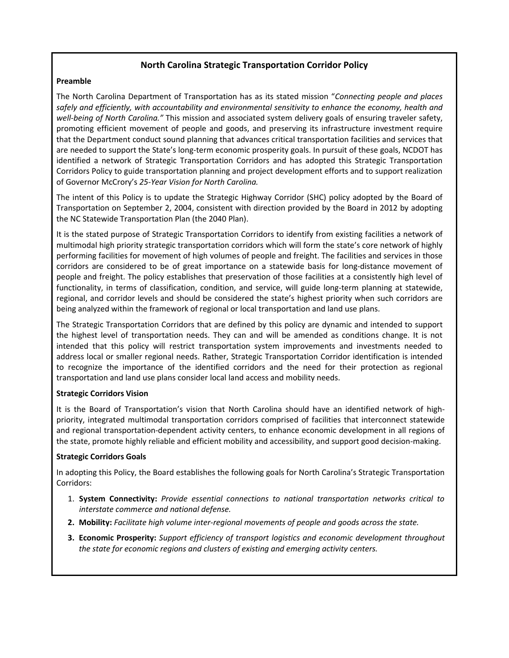# North Carolina Strategic Transportation Corridor Policy

#### Preamble

The North Carolina Department of Transportation has as its stated mission "Connecting people and places safely and efficiently, with accountability and environmental sensitivity to enhance the economy, health and well-being of North Carolina." This mission and associated system delivery goals of ensuring traveler safety, promoting efficient movement of people and goods, and preserving its infrastructure investment require that the Department conduct sound planning that advances critical transportation facilities and services that are needed to support the State's long-term economic prosperity goals. In pursuit of these goals, NCDOT has identified a network of Strategic Transportation Corridors and has adopted this Strategic Transportation Corridors Policy to guide transportation planning and project development efforts and to support realization of Governor McCrory's 25-Year Vision for North Carolina.

The intent of this Policy is to update the Strategic Highway Corridor (SHC) policy adopted by the Board of Transportation on September 2, 2004, consistent with direction provided by the Board in 2012 by adopting the NC Statewide Transportation Plan (the 2040 Plan).

It is the stated purpose of Strategic Transportation Corridors to identify from existing facilities a network of multimodal high priority strategic transportation corridors which will form the state's core network of highly performing facilities for movement of high volumes of people and freight. The facilities and services in those corridors are considered to be of great importance on a statewide basis for long-distance movement of people and freight. The policy establishes that preservation of those facilities at a consistently high level of functionality, in terms of classification, condition, and service, will guide long-term planning at statewide, regional, and corridor levels and should be considered the state's highest priority when such corridors are being analyzed within the framework of regional or local transportation and land use plans.

The Strategic Transportation Corridors that are defined by this policy are dynamic and intended to support the highest level of transportation needs. They can and will be amended as conditions change. It is not intended that this policy will restrict transportation system improvements and investments needed to address local or smaller regional needs. Rather, Strategic Transportation Corridor identification is intended to recognize the importance of the identified corridors and the need for their protection as regional transportation and land use plans consider local land access and mobility needs.

### Strategic Corridors Vision

It is the Board of Transportation's vision that North Carolina should have an identified network of highpriority, integrated multimodal transportation corridors comprised of facilities that interconnect statewide and regional transportation-dependent activity centers, to enhance economic development in all regions of the state, promote highly reliable and efficient mobility and accessibility, and support good decision-making.

### Strategic Corridors Goals

In adopting this Policy, the Board establishes the following goals for North Carolina's Strategic Transportation Corridors:

- 1. System Connectivity: Provide essential connections to national transportation networks critical to interstate commerce and national defense.
- 2. Mobility: Facilitate high volume inter-regional movements of people and goods across the state.
- 3. Economic Prosperity: Support efficiency of transport logistics and economic development throughout the state for economic regions and clusters of existing and emerging activity centers.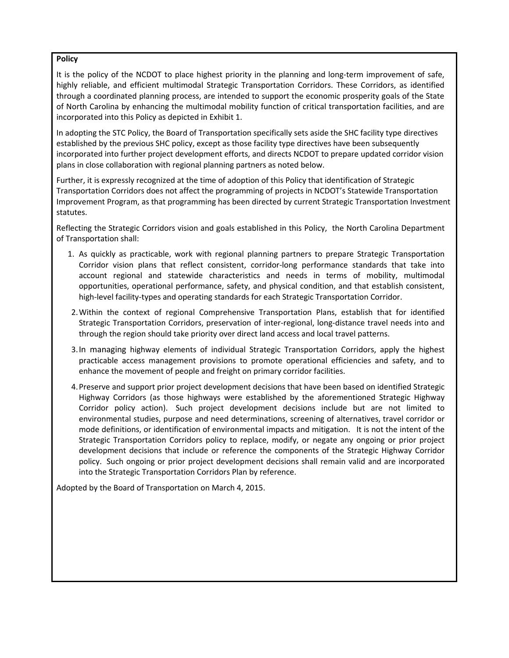### Policy

It is the policy of the NCDOT to place highest priority in the planning and long-term improvement of safe, highly reliable, and efficient multimodal Strategic Transportation Corridors. These Corridors, as identified through a coordinated planning process, are intended to support the economic prosperity goals of the State of North Carolina by enhancing the multimodal mobility function of critical transportation facilities, and are incorporated into this Policy as depicted in Exhibit 1.

In adopting the STC Policy, the Board of Transportation specifically sets aside the SHC facility type directives established by the previous SHC policy, except as those facility type directives have been subsequently incorporated into further project development efforts, and directs NCDOT to prepare updated corridor vision plans in close collaboration with regional planning partners as noted below.

Further, it is expressly recognized at the time of adoption of this Policy that identification of Strategic Transportation Corridors does not affect the programming of projects in NCDOT's Statewide Transportation Improvement Program, as that programming has been directed by current Strategic Transportation Investment statutes.

Reflecting the Strategic Corridors vision and goals established in this Policy, the North Carolina Department of Transportation shall:

- 1. As quickly as practicable, work with regional planning partners to prepare Strategic Transportation Corridor vision plans that reflect consistent, corridor-long performance standards that take into account regional and statewide characteristics and needs in terms of mobility, multimodal opportunities, operational performance, safety, and physical condition, and that establish consistent, high-level facility-types and operating standards for each Strategic Transportation Corridor.
- 2.Within the context of regional Comprehensive Transportation Plans, establish that for identified Strategic Transportation Corridors, preservation of inter-regional, long-distance travel needs into and through the region should take priority over direct land access and local travel patterns.
- 3.In managing highway elements of individual Strategic Transportation Corridors, apply the highest practicable access management provisions to promote operational efficiencies and safety, and to enhance the movement of people and freight on primary corridor facilities.
- 4.Preserve and support prior project development decisions that have been based on identified Strategic Highway Corridors (as those highways were established by the aforementioned Strategic Highway Corridor policy action). Such project development decisions include but are not limited to environmental studies, purpose and need determinations, screening of alternatives, travel corridor or mode definitions, or identification of environmental impacts and mitigation. It is not the intent of the Strategic Transportation Corridors policy to replace, modify, or negate any ongoing or prior project development decisions that include or reference the components of the Strategic Highway Corridor policy. Such ongoing or prior project development decisions shall remain valid and are incorporated into the Strategic Transportation Corridors Plan by reference.

Adopted by the Board of Transportation on March 4, 2015.